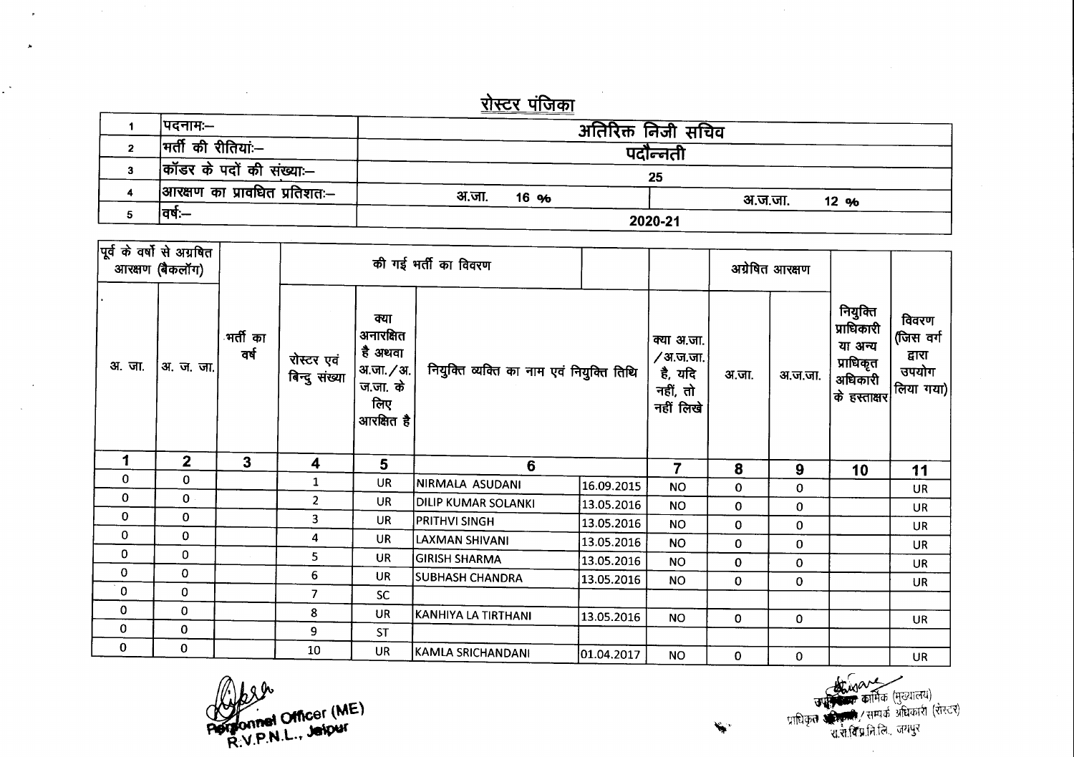## <u>रोस्टर पंजिका</u>

| ।पदनामः—                     | अतिरिक्त निजी सचिव |                 |  |  |  |
|------------------------------|--------------------|-----------------|--|--|--|
| मर्ती की रीतियां:--          | पदोन्नती           |                 |  |  |  |
| कॉडर के पदों की संख्या:--    | 25                 |                 |  |  |  |
| आरक्षण का प्रावधित प्रतिशतः— | अ.जा.<br>16 %      | अ.ज.जा.<br>12 % |  |  |  |
| वर्ष:—                       | 2020-21            |                 |  |  |  |

| पूर्व के वर्षों से अग्रबित | आरक्षण (बैकलॉग) |                               |                             |                                                                                      | की गई भर्ती का विवरण                      |                                                             |                |              | अग्रेषित आरक्षण                                                           |                                                    |            |
|----------------------------|-----------------|-------------------------------|-----------------------------|--------------------------------------------------------------------------------------|-------------------------------------------|-------------------------------------------------------------|----------------|--------------|---------------------------------------------------------------------------|----------------------------------------------------|------------|
| अ. जा.                     | अ. ज. जा.       | <sub>∙</sub> भर्ती का<br>वर्ष | रोस्टर एवं<br>बिन्दु संख्या | क्या<br>अनारक्षित<br>है अथवा<br>अ.जा. <b>/</b> अ.  <br>ज.जा. के<br>लिए<br>आरक्षित है | नियुक्ति व्यक्ति का नाम एवं नियुक्ति तिथि | क्या अ.जा.<br>∕ अ.ज.जा.<br>है, यदि<br>नहीं, तो<br>नहीं लिखे | अ.जा.          | अ.ज.जा.      | नियुक्ति<br>प्राधिकारी<br>या अन्य<br>प्राधिकृत<br>अधिकारी<br>के हस्ताक्षर | विवरण<br>(जिस वर्ग<br>द्वारा<br>उपयोग<br>लिया गया) |            |
| 1                          | $\mathbf{2}$    | 3                             | 4                           | 5                                                                                    | 6                                         |                                                             | $\overline{7}$ | 8            | 9                                                                         | 10                                                 | 11         |
| 0                          | $\mathbf{0}$    |                               | 1                           | <b>UR</b>                                                                            | NIRMALA ASUDANI                           | 16.09.2015                                                  | <b>NO</b>      | 0            | 0                                                                         |                                                    | UR         |
| 0                          | $\mathbf{0}$    |                               | 2                           | <b>UR</b>                                                                            | DILIP KUMAR SOLANKI                       | 13.05.2016                                                  | <b>NO</b>      | 0            | 0                                                                         |                                                    | <b>UR</b>  |
| $\mathbf 0$                | 0               |                               | 3                           | <b>UR</b>                                                                            | <b>PRITHVI SINGH</b>                      | 13.05.2016                                                  | <b>NO</b>      | 0            | 0                                                                         |                                                    | <b>UR</b>  |
| $\mathbf 0$                | $\mathbf 0$     |                               | 4                           | <b>UR</b>                                                                            | LAXMAN SHIVANI                            | 13.05.2016                                                  | <b>NO</b>      | 0            | 0                                                                         |                                                    | UR         |
| 0                          | 0               |                               | 5.                          | <b>UR</b>                                                                            | <b>GIRISH SHARMA</b>                      | 13.05.2016                                                  | <b>NO</b>      | $\mathbf{0}$ | 0                                                                         |                                                    | <b>UR</b>  |
| 0                          | 0               |                               | 6                           | UR                                                                                   | <b>SUBHASH CHANDRA</b>                    | 13.05.2016                                                  | NO.            | 0            | 0                                                                         |                                                    | <b>UR</b>  |
| $\mathbf 0$                | $\mathbf 0$     |                               | 7                           | <b>SC</b>                                                                            |                                           |                                                             |                |              |                                                                           |                                                    |            |
| 0                          | $\mathbf 0$     |                               | 8                           | <b>UR</b>                                                                            | KANHIYA LA TIRTHANI                       | 13.05.2016                                                  | <b>NO</b>      | $\mathbf 0$  | 0                                                                         |                                                    | <b>UR</b>  |
| 0                          | 0               |                               | 9                           | <b>ST</b>                                                                            |                                           |                                                             |                |              |                                                                           |                                                    |            |
| $\mathbf 0$                | 0               |                               | 10                          | <b>UR</b>                                                                            | KAMLA SRICHANDANI                         | 01.04.2017                                                  | <b>NO</b>      | $\Omega$     | $\Omega$                                                                  |                                                    | <b>IIR</b> |

Programed Officer (ME)

 $\sim$ 

प्राधिकृत अन्य कार्मिक (मुख्यालय)<br>प्राधिकृत अस्मिन्न, रसम्पर्क अधिकारी (रोस्टर)<br>यारो:विभ्रानि विग्रानुर

.<br>الجي